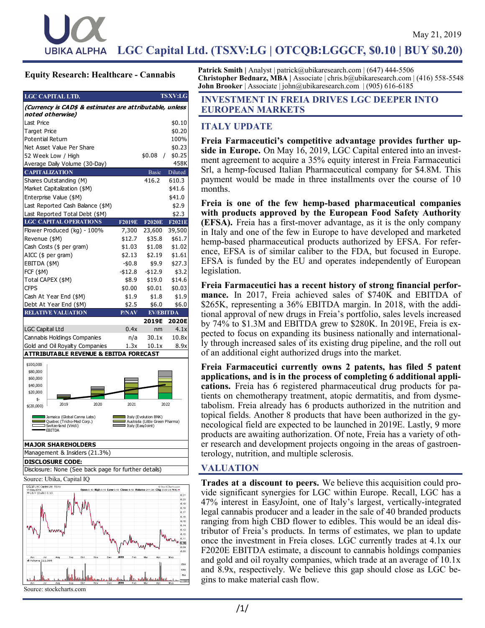LGC Capital Ltd. (TSXV:LG | OTCQB:LGGCF, \$0.10 | BUY \$0.20) no- vember 14, 2018 vember 14, 2018

#### **Equity Research: Healthcare - Cannabis**

**Eq- uity Research**

| LGC CAPITAL LTD.                                                            |               |                      | <b>TSXV:LG</b> |  |
|-----------------------------------------------------------------------------|---------------|----------------------|----------------|--|
| (Currency is CAD\$ & estimates are attributable, unless<br>noted otherwise) |               |                      |                |  |
| Last Price                                                                  |               |                      | \$0.10         |  |
| <b>Target Price</b>                                                         |               |                      | \$0.20         |  |
| <b>Potential Return</b>                                                     |               |                      | 100%           |  |
| Net Asset Value Per Share                                                   |               |                      | \$0.23         |  |
| 52 Week Low / High                                                          |               | \$0.08<br>$\sqrt{2}$ | \$0.25         |  |
| Average Daily Volume (30-Day)                                               |               |                      | 458K           |  |
| <b>CAPITALIZATION</b>                                                       |               | <b>Basic</b>         | Diluted        |  |
| Shares Outstanding (M)                                                      |               | 416.2                | 610.3          |  |
| Market Capitalization (\$M)                                                 |               |                      | \$41.6         |  |
| Enterprise Value (\$M)                                                      |               |                      | \$41.0         |  |
| Last Reported Cash Balance (\$M)                                            |               |                      | \$2.9          |  |
| Last Reported Total Debt (\$M)                                              |               |                      | \$2.3          |  |
| <b>LGC CAPITAL OPERATIONS</b>                                               | <b>F2019E</b> | <b>F2020E</b>        | F2021E         |  |
| Flower Produced (kg) - 100%                                                 | 7,300         | 23,600               | 39,500         |  |
| Revenue (\$M)                                                               | \$12.7        | \$35.8               | \$61.7         |  |
| Cash Costs (\$ per gram)                                                    | \$1.03        | \$1.08               | \$1.02         |  |
| AICC (\$ per gram)                                                          | \$2.13        | \$2.19               | \$1.61         |  |
| EBITDA (\$M)                                                                | $-50.8$       | \$9.9                | \$27.3         |  |
| <b>FCF (\$M)</b>                                                            | $- $12.8$     | $-$12.9$             | \$3.2          |  |
| Total CAPEX (\$M)                                                           | \$8.9         | \$19.0               | \$14.6         |  |
| <b>CFPS</b>                                                                 | \$0.00        | \$0.01               | \$0.03         |  |
| Cash At Year End (\$M)                                                      | \$1.9         | \$1.8                | \$1.9          |  |
| Debt At Year End (\$M)                                                      | \$2.5         | \$6.0                | \$6.0          |  |
| <b>RELATIVE VALUATION</b>                                                   | P/NAV         | <b>EV/EBITDA</b>     |                |  |
|                                                                             |               | 2019E                | 2020E          |  |
| <b>LGC Capital Ltd</b>                                                      | 0.4x          | nm                   | 4.1x           |  |
| Cannabis Holdings Companies                                                 | n/a           | 30.1x                | 10.8x          |  |
| Gold and Oil Royalty Companies                                              | 1.3x          | 10.1x                | 8.9x           |  |
| <b>ATTRIBUTABLE REVENUE &amp; EBITDA FORECAST</b>                           |               |                      |                |  |
| \$100,000                                                                   |               |                      |                |  |
| \$80,000                                                                    |               |                      |                |  |
| \$60,000                                                                    |               |                      |                |  |
| \$40,000<br>\$20,000                                                        |               |                      |                |  |
| \$-                                                                         |               |                      |                |  |

**MAJOR SHAREHOLDERS** Management & Insiders (21.3%) \$(20,000) 2019 2020 2021 2022 Jamaica (Global Canna Labs<mark>)</mark><br>Quebec (Tricho-Med Corp.) Italy (Evolution BNK)<br>Australia (Little Green Pharma)<br>Italy (EasyJoint) witzerland (Viridi) EBITDA

**DISCLOSURE CODE:**

Disclosure: None (See back page for further details)

Source: Ubika, Capital IQ



**Patrick Smith |** Analyst | patrick@ubikaresearch.com | (647) 444-5506 **Christopher Bednarz, MBA |** Associate | chris.b@ubikaresearch.com | (416) 558-5548 **John Brooker** | Associate | john@ubikaresearch.com | (905) 616-6185

### **INVESTMENT IN FREIA DRIVES LGC DEEPER INTO EUROPEAN MARKETS**

## **ITALY UPDATE**

**Freia Farmaceutici's competitive advantage provides further upside in Europe.** On May 16, 2019, LGC Capital entered into an investment agreement to acquire a 35% equity interest in Freia Farmaceutici Srl, a hemp-focused Italian Pharmaceutical company for \$4.8M. This payment would be made in three installments over the course of 10 months.

**Freia is one of the few hemp-based pharmaceutical companies with products approved by the European Food Safety Authority (EFSA).** Freia has a first-mover advantage, as it is the only company in Italy and one of the few in Europe to have developed and marketed hemp-based pharmaceutical products authorized by EFSA. For reference, EFSA is of similar caliber to the FDA, but focused in Europe. EFSA is funded by the EU and operates independently of European legislation.

**Freia Farmaceutici has a recent history of strong financial performance.** In 2017, Freia achieved sales of \$740K and EBITDA of \$265K, representing a 36% EBITDA margin. In 2018, with the additional approval of new drugs in Freia's portfolio, sales levels increased by 74% to \$1.3M and EBITDA grew to \$280K. In 2019E, Freia is expected to focus on expanding its business nationally and internationally through increased sales of its existing drug pipeline, and the roll out of an additional eight authorized drugs into the market.

**Freia Farmaceutici currently owns 2 patents, has filed 5 patent applications, and is in the process of completing 6 additional applications.** Freia has 6 registered pharmaceutical drug products for patients on chemotherapy treatment, atopic dermatitis, and from dysmetabolism. Freia already has 6 products authorized in the nutrition and topical fields. Another 8 products that have been authorized in the gynecological field are expected to be launched in 2019E. Lastly, 9 more products are awaiting authorization. Of note, Freia has a variety of other research and development projects ongoing in the areas of gastroenterology, nutrition, and multiple sclerosis.

# **VALUATION**

**Trades at a discount to peers.** We believe this acquisition could provide significant synergies for LGC within Europe. Recall, LGC has a 47% interest in EasyJoint, one of Italy's largest, vertically-integrated legal cannabis producer and a leader in the sale of 40 branded products ranging from high CBD flower to edibles. This would be an ideal distributor of Freia's products. In terms of estimates, we plan to update once the investment in Freia closes. LGC currently trades at 4.1x our F2020E EBITDA estimate, a discount to cannabis holdings companies and gold and oil royalty companies, which trade at an average of 10.1x and 8.9x, respectively. We believe this gap should close as LGC begins to make material cash flow.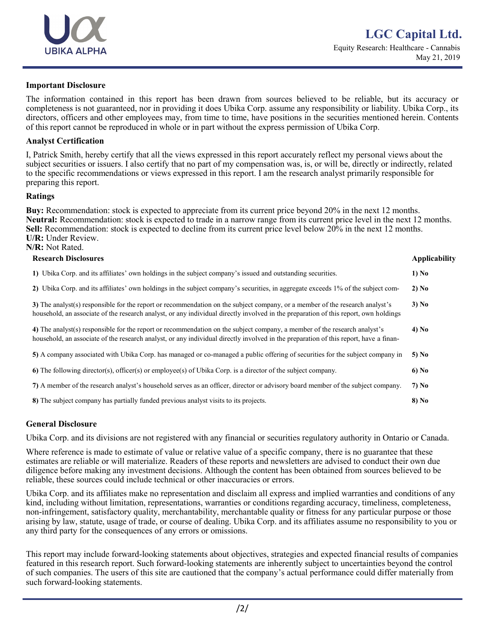

#### **Important Disclosure**

The information contained in this report has been drawn from sources believed to be reliable, but its accuracy or completeness is not guaranteed, nor in providing it does Ubika Corp. assume any responsibility or liability. Ubika Corp., its directors, officers and other employees may, from time to time, have positions in the securities mentioned herein. Contents of this report cannot be reproduced in whole or in part without the express permission of Ubika Corp.

#### **Analyst Certification**

I, Patrick Smith, hereby certify that all the views expressed in this report accurately reflect my personal views about the subject securities or issuers. I also certify that no part of my compensation was, is, or will be, directly or indirectly, related to the specific recommendations or views expressed in this report. I am the research analyst primarily responsible for preparing this report.

#### **Ratings**

**Buy:** Recommendation: stock is expected to appreciate from its current price beyond 20% in the next 12 months. **Neutral:** Recommendation: stock is expected to trade in a narrow range from its current price level in the next 12 months. **Sell:** Recommendation: stock is expected to decline from its current price level below 20% in the next 12 months. **U/R:** Under Review. **N/R:** Not Rated.

| <b>Research Disclosures</b>                                                                                                                                                                                                                                          | <b>Applicability</b> |
|----------------------------------------------------------------------------------------------------------------------------------------------------------------------------------------------------------------------------------------------------------------------|----------------------|
| 1) Ubika Corp. and its affiliates' own holdings in the subject company's issued and outstanding securities.                                                                                                                                                          | 1) No                |
| 2) Ubika Corp. and its affiliates' own holdings in the subject company's securities, in aggregate exceeds 1% of the subject com-                                                                                                                                     | 2) No                |
| 3) The analyst(s) responsible for the report or recommendation on the subject company, or a member of the research analyst's<br>household, an associate of the research analyst, or any individual directly involved in the preparation of this report, own holdings | 3) No                |
| 4) The analyst(s) responsible for the report or recommendation on the subject company, a member of the research analyst's<br>household, an associate of the research analyst, or any individual directly involved in the preparation of this report, have a finan-   | 4) No                |
| 5) A company associated with Ubika Corp. has managed or co-managed a public offering of securities for the subject company in                                                                                                                                        | 5) No                |
| 6) The following director(s), officer(s) or employee(s) of Ubika Corp. is a director of the subject company.                                                                                                                                                         | 6) No                |
| 7) A member of the research analyst's household serves as an officer, director or advisory board member of the subject company.                                                                                                                                      | 7) No                |
| 8) The subject company has partially funded previous analyst visits to its projects.                                                                                                                                                                                 | 8) No                |

#### **General Disclosure**

Ubika Corp. and its divisions are not registered with any financial or securities regulatory authority in Ontario or Canada.

Where reference is made to estimate of value or relative value of a specific company, there is no guarantee that these estimates are reliable or will materialize. Readers of these reports and newsletters are advised to conduct their own due diligence before making any investment decisions. Although the content has been obtained from sources believed to be reliable, these sources could include technical or other inaccuracies or errors.

Ubika Corp. and its affiliates make no representation and disclaim all express and implied warranties and conditions of any kind, including without limitation, representations, warranties or conditions regarding accuracy, timeliness, completeness, non-infringement, satisfactory quality, merchantability, merchantable quality or fitness for any particular purpose or those arising by law, statute, usage of trade, or course of dealing. Ubika Corp. and its affiliates assume no responsibility to you or any third party for the consequences of any errors or omissions.

This report may include forward-looking statements about objectives, strategies and expected financial results of companies featured in this research report. Such forward-looking statements are inherently subject to uncertainties beyond the control of such companies. The users of this site are cautioned that the company's actual performance could differ materially from such forward-looking statements.